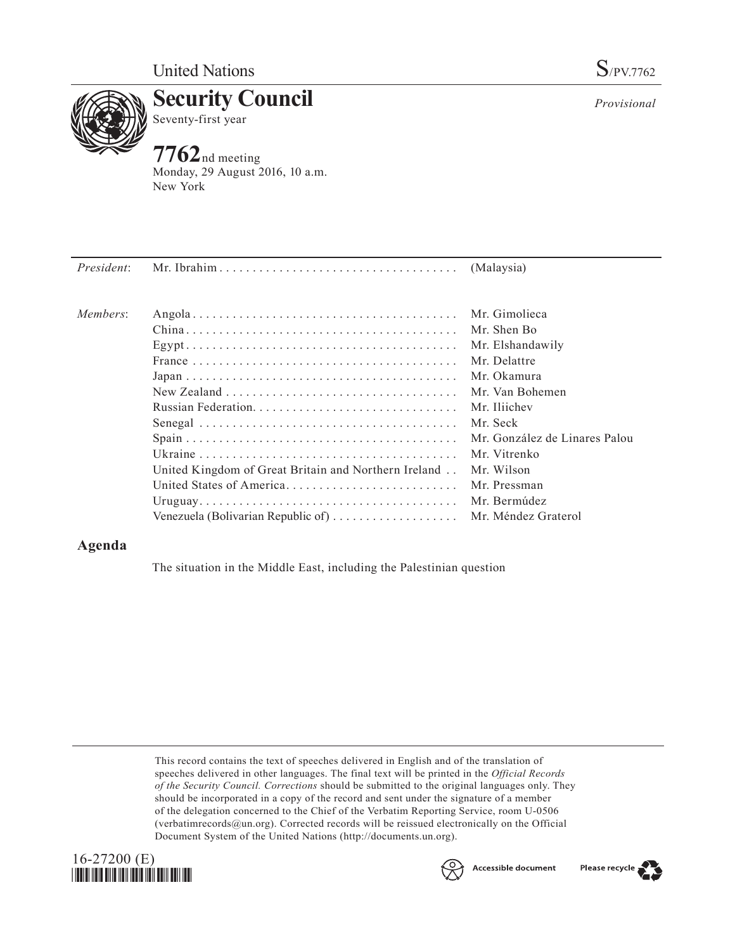

**Security Council** Seventy-first year

**7762**nd meeting Monday, 29 August 2016, 10 a.m. New York

| Members: |                                                         | Mr. Gimolieca                 |
|----------|---------------------------------------------------------|-------------------------------|
|          |                                                         | Mr. Shen Bo                   |
|          |                                                         | Mr. Elshandawily              |
|          |                                                         | Mr. Delattre                  |
|          |                                                         | Mr. Okamura                   |
|          |                                                         | Mr. Van Bohemen               |
|          |                                                         | Mr. Iliichev                  |
|          |                                                         | Mr. Seck                      |
|          |                                                         | Mr. González de Linares Palou |
|          |                                                         | Mr. Vitrenko                  |
|          | United Kingdom of Great Britain and Northern Ireland    | Mr. Wilson                    |
|          | United States of America                                | Mr. Pressman                  |
|          |                                                         |                               |
|          | Venezuela (Bolivarian Republic of)  Mr. Méndez Graterol |                               |

## **Agenda**

The situation in the Middle East, including the Palestinian question

This record contains the text of speeches delivered in English and of the translation of speeches delivered in other languages. The final text will be printed in the *Official Records of the Security Council. Corrections* should be submitted to the original languages only. They should be incorporated in a copy of the record and sent under the signature of a member of the delegation concerned to the Chief of the Verbatim Reporting Service, room U-0506 (verbatimrecords $@un.org$ ). Corrected records will be reissued electronically on the Official Document System of the United Nations [\(http://documents.un.org\)](http://documents.un.org).





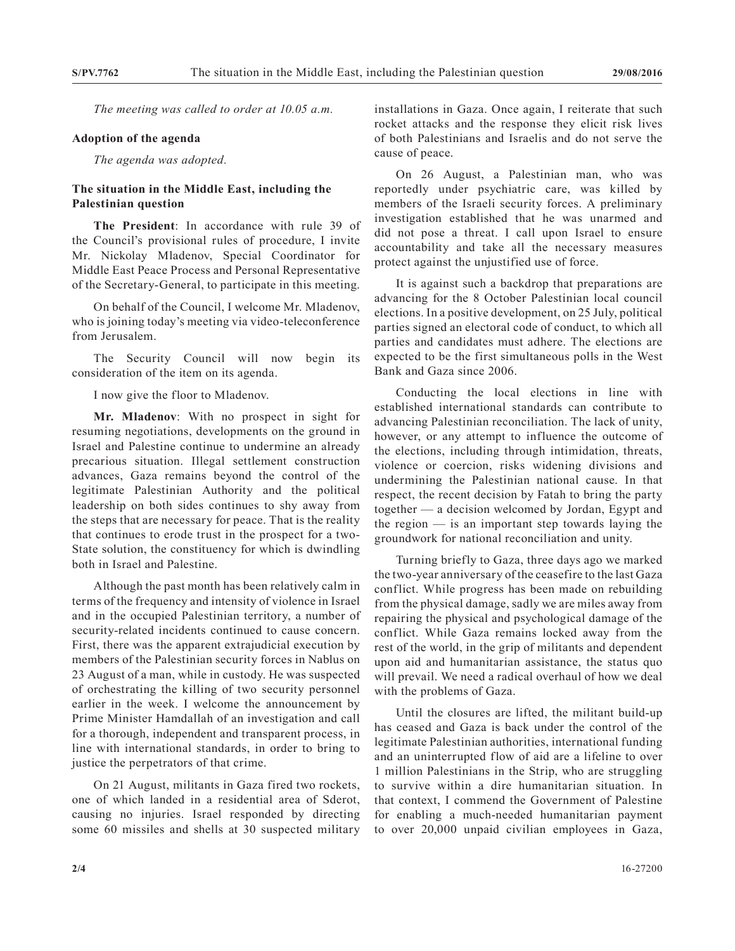*The meeting was called to order at 10.05 a.m.*

## **Adoption of the agenda**

*The agenda was adopted.*

## **The situation in the Middle East, including the Palestinian question**

**The President**: In accordance with rule 39 of the Council's provisional rules of procedure, I invite Mr. Nickolay Mladenov, Special Coordinator for Middle East Peace Process and Personal Representative of the Secretary-General, to participate in this meeting.

On behalf of the Council, I welcome Mr. Mladenov, who is joining today's meeting via video-teleconference from Jerusalem.

The Security Council will now begin its consideration of the item on its agenda.

I now give the floor to Mladenov.

**Mr. Mladenov**: With no prospect in sight for resuming negotiations, developments on the ground in Israel and Palestine continue to undermine an already precarious situation. Illegal settlement construction advances, Gaza remains beyond the control of the legitimate Palestinian Authority and the political leadership on both sides continues to shy away from the steps that are necessary for peace. That is the reality that continues to erode trust in the prospect for a two-State solution, the constituency for which is dwindling both in Israel and Palestine.

Although the past month has been relatively calm in terms of the frequency and intensity of violence in Israel and in the occupied Palestinian territory, a number of security-related incidents continued to cause concern. First, there was the apparent extrajudicial execution by members of the Palestinian security forces in Nablus on 23 August of a man, while in custody. He was suspected of orchestrating the killing of two security personnel earlier in the week. I welcome the announcement by Prime Minister Hamdallah of an investigation and call for a thorough, independent and transparent process, in line with international standards, in order to bring to justice the perpetrators of that crime.

On 21 August, militants in Gaza fired two rockets, one of which landed in a residential area of Sderot, causing no injuries. Israel responded by directing some 60 missiles and shells at 30 suspected military

installations in Gaza. Once again, I reiterate that such rocket attacks and the response they elicit risk lives of both Palestinians and Israelis and do not serve the cause of peace.

On 26 August, a Palestinian man, who was reportedly under psychiatric care, was killed by members of the Israeli security forces. A preliminary investigation established that he was unarmed and did not pose a threat. I call upon Israel to ensure accountability and take all the necessary measures protect against the unjustified use of force.

It is against such a backdrop that preparations are advancing for the 8 October Palestinian local council elections. In a positive development, on 25 July, political parties signed an electoral code of conduct, to which all parties and candidates must adhere. The elections are expected to be the first simultaneous polls in the West Bank and Gaza since 2006.

Conducting the local elections in line with established international standards can contribute to advancing Palestinian reconciliation. The lack of unity, however, or any attempt to influence the outcome of the elections, including through intimidation, threats, violence or coercion, risks widening divisions and undermining the Palestinian national cause. In that respect, the recent decision by Fatah to bring the party together — a decision welcomed by Jordan, Egypt and the region — is an important step towards laying the groundwork for national reconciliation and unity.

Turning briefly to Gaza, three days ago we marked the two-year anniversary of the ceasefire to the last Gaza conflict. While progress has been made on rebuilding from the physical damage, sadly we are miles away from repairing the physical and psychological damage of the conflict. While Gaza remains locked away from the rest of the world, in the grip of militants and dependent upon aid and humanitarian assistance, the status quo will prevail. We need a radical overhaul of how we deal with the problems of Gaza.

Until the closures are lifted, the militant build-up has ceased and Gaza is back under the control of the legitimate Palestinian authorities, international funding and an uninterrupted flow of aid are a lifeline to over 1 million Palestinians in the Strip, who are struggling to survive within a dire humanitarian situation. In that context, I commend the Government of Palestine for enabling a much-needed humanitarian payment to over 20,000 unpaid civilian employees in Gaza,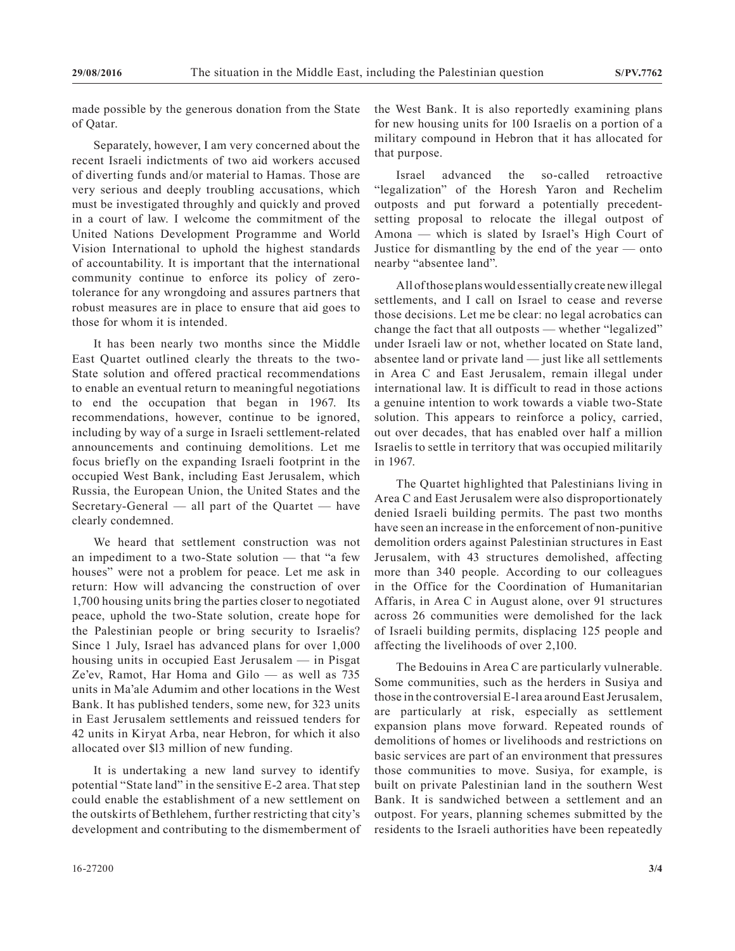made possible by the generous donation from the State of Qatar.

Separately, however, I am very concerned about the recent Israeli indictments of two aid workers accused of diverting funds and/or material to Hamas. Those are very serious and deeply troubling accusations, which must be investigated throughly and quickly and proved in a court of law. I welcome the commitment of the United Nations Development Programme and World Vision International to uphold the highest standards of accountability. It is important that the international community continue to enforce its policy of zerotolerance for any wrongdoing and assures partners that robust measures are in place to ensure that aid goes to those for whom it is intended.

It has been nearly two months since the Middle East Quartet outlined clearly the threats to the two-State solution and offered practical recommendations to enable an eventual return to meaningful negotiations to end the occupation that began in 1967. Its recommendations, however, continue to be ignored, including by way of a surge in Israeli settlement-related announcements and continuing demolitions. Let me focus briefly on the expanding Israeli footprint in the occupied West Bank, including East Jerusalem, which Russia, the European Union, the United States and the Secretary-General — all part of the Quartet — have clearly condemned.

We heard that settlement construction was not an impediment to a two-State solution — that "a few houses" were not a problem for peace. Let me ask in return: How will advancing the construction of over 1,700 housing units bring the parties closer to negotiated peace, uphold the two-State solution, create hope for the Palestinian people or bring security to Israelis? Since 1 July, Israel has advanced plans for over 1,000 housing units in occupied East Jerusalem — in Pisgat Ze'ev, Ramot, Har Homa and Gilo — as well as 735 units in Ma'ale Adumim and other locations in the West Bank. It has published tenders, some new, for 323 units in East Jerusalem settlements and reissued tenders for 42 units in Kiryat Arba, near Hebron, for which it also allocated over \$l3 million of new funding.

It is undertaking a new land survey to identify potential "State land" in the sensitive E-2 area. That step could enable the establishment of a new settlement on the outskirts of Bethlehem, further restricting that city's development and contributing to the dismemberment of the West Bank. It is also reportedly examining plans for new housing units for 100 Israelis on a portion of a military compound in Hebron that it has allocated for that purpose.

Israel advanced the so-called retroactive "legalization" of the Horesh Yaron and Rechelim outposts and put forward a potentially precedentsetting proposal to relocate the illegal outpost of Amona — which is slated by Israel's High Court of Justice for dismantling by the end of the year — onto nearby "absentee land".

All of those plans would essentially create new illegal settlements, and I call on Israel to cease and reverse those decisions. Let me be clear: no legal acrobatics can change the fact that all outposts — whether "legalized" under Israeli law or not, whether located on State land, absentee land or private land — just like all settlements in Area C and East Jerusalem, remain illegal under international law. It is difficult to read in those actions a genuine intention to work towards a viable two-State solution. This appears to reinforce a policy, carried, out over decades, that has enabled over half a million Israelis to settle in territory that was occupied militarily in 1967.

The Quartet highlighted that Palestinians living in Area C and East Jerusalem were also disproportionately denied Israeli building permits. The past two months have seen an increase in the enforcement of non-punitive demolition orders against Palestinian structures in East Jerusalem, with 43 structures demolished, affecting more than 340 people. According to our colleagues in the Office for the Coordination of Humanitarian Affaris, in Area C in August alone, over 91 structures across 26 communities were demolished for the lack of Israeli building permits, displacing 125 people and affecting the livelihoods of over 2,100.

The Bedouins in Area C are particularly vulnerable. Some communities, such as the herders in Susiya and those in the controversial E-l area around East Jerusalem, are particularly at risk, especially as settlement expansion plans move forward. Repeated rounds of demolitions of homes or livelihoods and restrictions on basic services are part of an environment that pressures those communities to move. Susiya, for example, is built on private Palestinian land in the southern West Bank. It is sandwiched between a settlement and an outpost. For years, planning schemes submitted by the residents to the Israeli authorities have been repeatedly